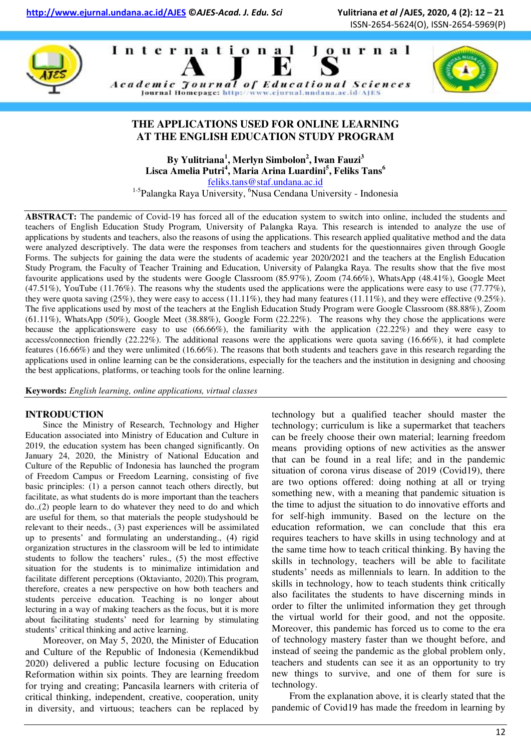ISSN-2654-5624(O), ISSN-2654-5969(P)







#### **THE APPLICATIONS USED FOR ONLINE LEARNING AT THE ENGLISH EDUCATION STUDY PROGRAM**

**By Yulitriana<sup>1</sup> , Merlyn Simbolon<sup>2</sup> , Iwan Fauzi<sup>3</sup> Lisca Amelia Putri<sup>4</sup> , Maria Arina Luardini<sup>5</sup> , Feliks Tans<sup>6</sup>** [feliks.tans@staf.undana.ac.id](mailto:felikstans@gmail.com) 

<sup>1-5</sup>Palangka Raya University, <sup>6</sup>Nusa Cendana University - Indonesia

**ABSTRACT:** The pandemic of Covid-19 has forced all of the education system to switch into online, included the students and teachers of English Education Study Program, University of Palangka Raya. This research is intended to analyze the use of applications by students and teachers, also the reasons of using the applications. This research applied qualitative method and the data were analyzed descriptively. The data were the responses from teachers and students for the questionnaires given through Google Forms. The subjects for gaining the data were the students of academic year 2020/2021 and the teachers at the English Education Study Program, the Faculty of Teacher Training and Education, University of Palangka Raya. The results show that the five most favourite applications used by the students were Google Classroom (85.97%), Zoom (74.66%), WhatsApp (48.41%), Google Meet (47.51%), YouTube (11.76%). The reasons why the students used the applications were the applications were easy to use (77.77%), they were quota saving  $(25\%)$ , they were easy to access  $(11.11\%)$ , they had many features  $(11.11\%)$ , and they were effective  $(9.25\%)$ . The five applications used by most of the teachers at the English Education Study Program were Google Classroom (88.88%), Zoom  $(61.11\%)$ , WhatsApp  $(50\%)$ , Google Meet  $(38.88\%)$ , Google Form  $(22.22\%)$ . The reasons why they chose the applications were because the applicationswere easy to use (66.66%), the familiarity with the application (22.22%) and they were easy to access/connection friendly (22.22%). The additional reasons were the applications were quota saving (16.66%), it had complete features (16.66%) and they were unlimited (16.66%). The reasons that both students and teachers gave in this research regarding the applications used in online learning can be the considerations, especially for the teachers and the institution in designing and choosing the best applications, platforms, or teaching tools for the online learning.

**Keywords:** *English learning, online applications, virtual classes* 

#### **INTRODUCTION**

Since the Ministry of Research, Technology and Higher Education associated into Ministry of Education and Culture in 2019, the education system has been changed significantly. On January 24, 2020, the Ministry of National Education and Culture of the Republic of Indonesia has launched the program of Freedom Campus or Freedom Learning, consisting of five basic principles: (1) a person cannot teach others directly, but facilitate, as what students do is more important than the teachers do.,(2) people learn to do whatever they need to do and which are useful for them, so that materials the people studyshould be relevant to their needs., (3) past experiences will be assimilated up to presents" and formulating an understanding., (4) rigid organization structures in the classroom will be led to intimidate students to follow the teachers' rules., (5) the most effective situation for the students is to minimalize intimidation and facilitate different perceptions (Oktavianto, 2020).This program, therefore, creates a new perspective on how both teachers and students perceive education. Teaching is no longer about lecturing in a way of making teachers as the focus, but it is more about facilitating students' need for learning by stimulating students' critical thinking and active learning.

Moreover, on May 5, 2020, the Minister of Education and Culture of the Republic of Indonesia (Kemendikbud 2020) delivered a public lecture focusing on Education Reformation within six points. They are learning freedom for trying and creating; Pancasila learners with criteria of critical thinking, independent, creative, cooperation, unity in diversity, and virtuous; teachers can be replaced by technology but a qualified teacher should master the technology; curriculum is like a supermarket that teachers can be freely choose their own material; learning freedom means providing options of new activities as the answer that can be found in a real life; and in the pandemic situation of corona virus disease of 2019 (Covid19), there are two options offered: doing nothing at all or trying something new, with a meaning that pandemic situation is the time to adjust the situation to do innovative efforts and for self-high immunity. Based on the lecture on the education reformation, we can conclude that this era requires teachers to have skills in using technology and at the same time how to teach critical thinking. By having the skills in technology, teachers will be able to facilitate students" needs as millennials to learn. In addition to the skills in technology, how to teach students think critically also facilitates the students to have discerning minds in order to filter the unlimited information they get through the virtual world for their good, and not the opposite. Moreover, this pandemic has forced us to come to the era of technology mastery faster than we thought before, and instead of seeing the pandemic as the global problem only, teachers and students can see it as an opportunity to try new things to survive, and one of them for sure is technology.

From the explanation above, it is clearly stated that the pandemic of Covid19 has made the freedom in learning by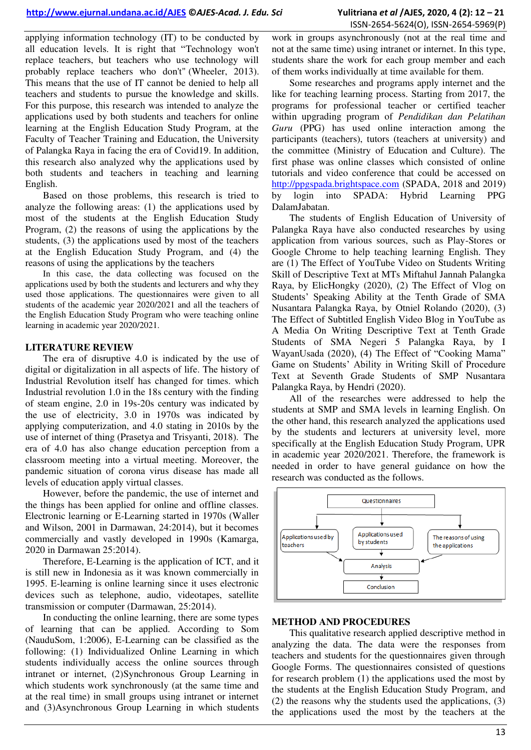applying information technology (IT) to be conducted by all education levels. It is right that "Technology won't replace teachers, but teachers who use technology will probably replace teachers who don't" (Wheeler, 2013). This means that the use of IT cannot be denied to help all teachers and students to pursue the knowledge and skills. For this purpose, this research was intended to analyze the applications used by both students and teachers for online learning at the English Education Study Program, at the Faculty of Teacher Training and Education, the University of Palangka Raya in facing the era of Covid19. In addition, this research also analyzed why the applications used by both students and teachers in teaching and learning English.

Based on those problems, this research is tried to analyze the following areas: (1) the applications used by most of the students at the English Education Study Program, (2) the reasons of using the applications by the students, (3) the applications used by most of the teachers at the English Education Study Program, and (4) the reasons of using the applications by the teachers

In this case, the data collecting was focused on the applications used by both the students and lecturers and why they used those applications. The questionnaires were given to all students of the academic year 2020/2021 and all the teachers of the English Education Study Program who were teaching online learning in academic year 2020/2021.

#### **LITERATURE REVIEW**

The era of disruptive 4.0 is indicated by the use of digital or digitalization in all aspects of life. The history of Industrial Revolution itself has changed for times. which Industrial revolution 1.0 in the 18s century with the finding of steam engine, 2.0 in 19s-20s century was indicated by the use of electricity, 3.0 in 1970s was indicated by applying computerization, and 4.0 stating in 2010s by the use of internet of thing (Prasetya and Trisyanti, 2018). The era of 4.0 has also change education perception from a classroom meeting into a virtual meeting. Moreover, the pandemic situation of corona virus disease has made all levels of education apply virtual classes.

However, before the pandemic, the use of internet and the things has been applied for online and offline classes. Electronic learning or E-Learning started in 1970s (Waller and Wilson, 2001 in Darmawan, 24:2014), but it becomes commercially and vastly developed in 1990s (Kamarga, 2020 in Darmawan 25:2014).

Therefore, E-Learning is the application of ICT, and it is still new in Indonesia as it was known commercially in 1995. E-learning is online learning since it uses electronic devices such as telephone, audio, videotapes, satellite transmission or computer (Darmawan, 25:2014).

In conducting the online learning, there are some types of learning that can be applied. According to Som (NauduSom, 1:2006), E-Learning can be classified as the following: (1) Individualized Online Learning in which students individually access the online sources through intranet or internet, (2)Synchronous Group Learning in which students work synchronously (at the same time and at the real time) in small groups using intranet or internet and (3)Asynchronous Group Learning in which students

work in groups asynchronously (not at the real time and not at the same time) using intranet or internet. In this type, students share the work for each group member and each of them works individually at time available for them.

Some researches and programs apply internet and the like for teaching learning process. Starting from 2017, the programs for professional teacher or certified teacher within upgrading program of *Pendidikan dan Pelatihan Guru* (PPG) has used online interaction among the participants (teachers), tutors (teachers at university) and the committee (Ministry of Education and Culture). The first phase was online classes which consisted of online tutorials and video conference that could be accessed on [http://ppgspada.brightspace.com](http://ppgspada.brightspace.com/) (SPADA, 2018 and 2019) by login into SPADA: Hybrid Learning PPG DalamJabatan.

The students of English Education of University of Palangka Raya have also conducted researches by using application from various sources, such as Play-Stores or Google Chrome to help teaching learning English. They are (1) The Effect of YouTube Video on Students Writing Skill of Descriptive Text at MTs Miftahul Jannah Palangka Raya, by ElicHongky (2020), (2) The Effect of Vlog on Students" Speaking Ability at the Tenth Grade of SMA Nusantara Palangka Raya, by Otniel Rolando (2020), (3) The Effect of Subtitled English Video Blog in YouTube as A Media On Writing Descriptive Text at Tenth Grade Students of SMA Negeri 5 Palangka Raya, by I WayanUsada (2020), (4) The Effect of "Cooking Mama" Game on Students" Ability in Writing Skill of Procedure Text at Seventh Grade Students of SMP Nusantara Palangka Raya, by Hendri (2020).

All of the researches were addressed to help the students at SMP and SMA levels in learning English. On the other hand, this research analyzed the applications used by the students and lecturers at university level, more specifically at the English Education Study Program, UPR in academic year 2020/2021. Therefore, the framework is needed in order to have general guidance on how the research was conducted as the follows.



#### **METHOD AND PROCEDURES**

This qualitative research applied descriptive method in analyzing the data. The data were the responses from teachers and students for the questionnaires given through Google Forms. The questionnaires consisted of questions for research problem (1) the applications used the most by the students at the English Education Study Program, and (2) the reasons why the students used the applications, (3) the applications used the most by the teachers at the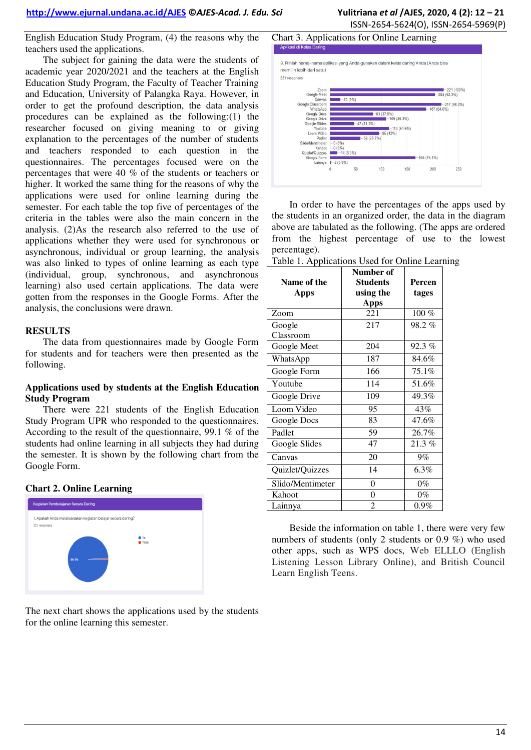The subject for gaining the data were the students of academic year 2020/2021 and the teachers at the English Education Study Program, the Faculty of Teacher Training and Education, University of Palangka Raya. However, in order to get the profound description, the data analysis procedures can be explained as the following:(1) the researcher focused on giving meaning to or giving explanation to the percentages of the number of students and teachers responded to each question in the questionnaires. The percentages focused were on the percentages that were 40 % of the students or teachers or higher. It worked the same thing for the reasons of why the applications were used for online learning during the semester. For each table the top five of percentages of the criteria in the tables were also the main concern in the analysis. (2)As the research also referred to the use of applications whether they were used for synchronous or asynchronous, individual or group learning, the analysis was also linked to types of online learning as each type (individual, group, synchronous, and asynchronous learning) also used certain applications. The data were gotten from the responses in the Google Forms. After the analysis, the conclusions were drawn.

#### **RESULTS**

The data from questionnaires made by Google Form for students and for teachers were then presented as the following.

#### **Applications used by students at the English Education Study Program**

There were 221 students of the English Education Study Program UPR who responded to the questionnaires. According to the result of the questionnaire, 99.1 % of the students had online learning in all subjects they had during the semester. It is shown by the following chart from the Google Form.





The next chart shows the applications used by the students for the online learning this semester.

# ISSN-2654-5624(O), ISSN-2654-5969(P)

#### Chart 3. Applications for Online Learning



In order to have the percentages of the apps used by the students in an organized order, the data in the diagram above are tabulated as the following. (The apps are ordered from the highest percentage of use to the lowest percentage).

Table 1. Applications Used for Online Learning

| $1.11$ $\mu$ $\mu$<br>Name of the<br><b>Apps</b> | Number of<br><b>Students</b><br>using the | Percen<br>tages |
|--------------------------------------------------|-------------------------------------------|-----------------|
|                                                  | <b>Apps</b>                               |                 |
| Zoom                                             | 221                                       | 100 %           |
| Google                                           | 217                                       | 98.2%           |
| Classroom                                        |                                           |                 |
| Google Meet                                      | 204                                       | 92.3%           |
| WhatsApp                                         | 187                                       | 84.6%           |
| Google Form                                      | 166                                       | 75.1%           |
| Youtube                                          | 114                                       | 51.6%           |
| Google Drive                                     | 109                                       | 49.3%           |
| Loom Video                                       | 95                                        | 43%             |
| Google Docs                                      | 83                                        | 47.6%           |
| Padlet                                           | 59                                        | 26.7%           |
| Google Slides                                    | 47                                        | $21.3\%$        |
| Canvas                                           | 20                                        | 9%              |
| Quizlet/Quizzes                                  | 14                                        | 6.3%            |
| Slido/Mentimeter                                 | 0                                         | $0\%$           |
| Kahoot                                           | 0                                         | $0\%$           |
| Lainnya                                          | 2                                         | $0.9\%$         |

Beside the information on table 1, there were very few numbers of students (only 2 students or 0.9 %) who used other apps, such as WPS docs, Web ELLLO (English Listening Lesson Library Online), and British Council Learn English Teens.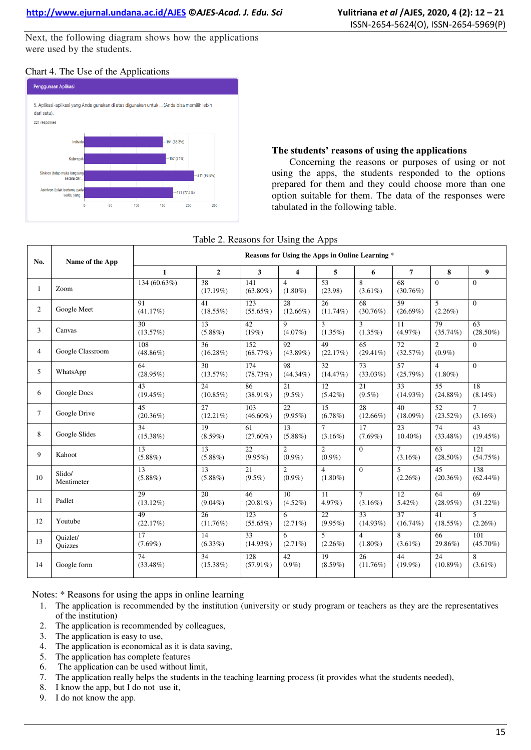Next, the following diagram shows how the applications were used by the students.

### Chart 4. The Use of the Applications



#### **The students' reasons of using the applications**

Concerning the reasons or purposes of using or not using the apps, the students responded to the options prepared for them and they could choose more than one option suitable for them. The data of the responses were tabulated in the following table.

#### Table 2. Reasons for Using the Apps

| No.            | Name of the App            | Reasons for Using the Apps in Online Learning * |                                |                                |                                |                              |                                |                                |                              |                               |
|----------------|----------------------------|-------------------------------------------------|--------------------------------|--------------------------------|--------------------------------|------------------------------|--------------------------------|--------------------------------|------------------------------|-------------------------------|
|                |                            | $\mathbf{1}$                                    | $\overline{2}$                 | $\mathbf{3}$                   | $\overline{\mathbf{4}}$        | 5                            | 6                              | $\overline{7}$                 | 8                            | 9                             |
| $\mathbf{1}$   | Zoom                       | 134 (60.63%)                                    | 38<br>(17.19%)                 | 141<br>$(63.80\%)$             | $\overline{4}$<br>$(1.80\%)$   | 53<br>(23.98)                | 8<br>$(3.61\%)$                | 68<br>$(30.76\%)$              | $\Omega$                     | $\theta$                      |
| $\overline{2}$ | Google Meet                | 91<br>(41.17%)                                  | 41<br>$(18.55\%)$              | 123<br>$(55.65\%)$             | 28<br>$(12.66\%)$              | 26<br>$(11.74\%)$            | 68<br>$(30.76\%)$              | 59<br>$(26.69\%)$              | 5<br>$(2.26\%)$              | $\overline{0}$                |
| 3              | Canvas                     | 30<br>(13.57%)                                  | 13<br>$(5.88\%)$               | 42<br>(19%)                    | 9<br>$(4.07\%)$                | 3<br>$(1.35\%)$              | 3<br>$(1.35\%)$                | 11<br>$(4.97\%)$               | 79<br>$(35.74\%)$            | 63<br>$(28.50\%)$             |
| $\overline{4}$ | Google Classroom           | 108<br>$(48.86\%)$                              | $\overline{36}$<br>$(16.28\%)$ | 152<br>(68.77%)                | 92<br>$(43.89\%)$              | 49<br>(22.17%)               | 65<br>$(29.41\%)$              | $\overline{72}$<br>(32.57%)    | $\overline{2}$<br>$(0.9\%)$  | $\overline{0}$                |
| 5              | WhatsApp                   | 64<br>$(28.95\%)$                               | $\overline{30}$<br>(13.57%)    | 174<br>(78.73%)                | $\overline{98}$<br>$(44.34\%)$ | 32.<br>(14.47%)              | 73<br>$(33.03\%)$              | 57<br>(25.79%)                 | $\overline{4}$<br>$(1.80\%)$ | $\Omega$                      |
| 6              | Google Docs                | 43<br>$(19.45\%)$                               | 24<br>$(10.85\%)$              | 86<br>$(38.91\%)$              | 21<br>$(9.5\%)$                | 12<br>$(5.42\%)$             | 21<br>$(9.5\%)$                | 33<br>$(14.93\%)$              | 55<br>$(24.88\%)$            | $\overline{18}$<br>$(8.14\%)$ |
| $\tau$         | Google Drive               | 45<br>$(20.36\%)$                               | 27<br>$(12.21\%)$              | 103<br>$(46.60\%)$             | 22<br>$(9.95\%)$               | 15<br>$(6.78\%)$             | 28<br>$(12.66\%)$              | 40<br>$(18.09\%)$              | 52<br>$(23.52\%)$            | $\tau$<br>$(3.16\%)$          |
| 8              | Google Slides              | $\overline{34}$<br>$(15.38\%)$                  | $\overline{19}$<br>$(8.59\%)$  | $\overline{61}$<br>$(27.60\%)$ | $\overline{13}$<br>$(5.88\%)$  | $\tau$<br>$(3.16\%)$         | $\overline{17}$<br>$(7.69\%)$  | $\overline{23}$<br>$10.40\%$   | 74<br>$(33.48\%)$            | 43<br>$(19.45\%)$             |
| 9              | Kahoot                     | $\overline{13}$<br>$(5.88\%)$                   | $\overline{13}$<br>$(5.88\%)$  | $\overline{22}$<br>$(9.95\%)$  | $\overline{2}$<br>$(0.9\%)$    | $\overline{2}$<br>$(0.9\%)$  | $\overline{0}$                 | $\tau$<br>$(3.16\%)$           | 63<br>$(28.50\%)$            | 121<br>(54.75%)               |
| 10             | Slido/<br>Mentimeter       | 13<br>$(5.88\%)$                                | 13<br>$(5.88\%)$               | 21<br>$(9.5\%)$                | $\overline{2}$<br>$(0.9\%)$    | $\overline{4}$<br>$(1.80\%)$ | $\mathbf{0}$                   | 5<br>$(2.26\%)$                | 45<br>$(20.36\%)$            | 138<br>$(62.44\%)$            |
| 11             | Padlet                     | 29<br>$(13.12\%)$                               | $\overline{20}$<br>$(9.04\%)$  | 46<br>$(20.81\%)$              | $\overline{10}$<br>$(4.52\%)$  | $\overline{11}$<br>$4.97\%$  | $\overline{7}$<br>$(3.16\%)$   | $\overline{12}$<br>$5.42\%)$   | 64<br>$(28.95\%)$            | 69<br>$(31.22\%)$             |
| 12             | Youtube                    | 49<br>(22.17%)                                  | 26<br>$(11.76\%)$              | 123<br>$(55.65\%)$             | 6<br>$(2.71\%)$                | 22<br>$(9.95\%)$             | 33<br>$(14.93\%)$              | $\overline{37}$<br>$(16.74\%)$ | 41<br>$(18.55\%)$            | 5<br>$(2.26\%)$               |
| 13             | Ouizlet/<br><b>Ouizzes</b> | 17<br>$(7.69\%)$                                | 14<br>$(6.33\%)$               | 33<br>$(14.93\%)$              | 6<br>$(2.71\%)$                | 5<br>$(2.26\%)$              | $\overline{4}$<br>$(1.80\%)$   | 8<br>$(3.61\%)$                | 66<br>29.86%)                | 101<br>$(45.70\%)$            |
| 14             | Google form                | 74<br>$(33.48\%)$                               | $\overline{34}$<br>$(15.38\%)$ | 128<br>$(57.91\%)$             | 42<br>$0.9\%)$                 | 19<br>$(8.59\%)$             | $\overline{26}$<br>$(11.76\%)$ | 44<br>$(19.9\%)$               | 24<br>$(10.89\%)$            | 8<br>$(3.61\%)$               |

Notes: \* Reasons for using the apps in online learning

- 1. The application is recommended by the institution (university or study program or teachers as they are the representatives of the institution)
- 2. The application is recommended by colleagues,
- 3. The application is easy to use,
- 4. The application is economical as it is data saving,
- 5. The application has complete features
- 6. The application can be used without limit,
- 7. The application really helps the students in the teaching learning process (it provides what the students needed),
- 8. I know the app, but I do not use it,
- 9. I do not know the app.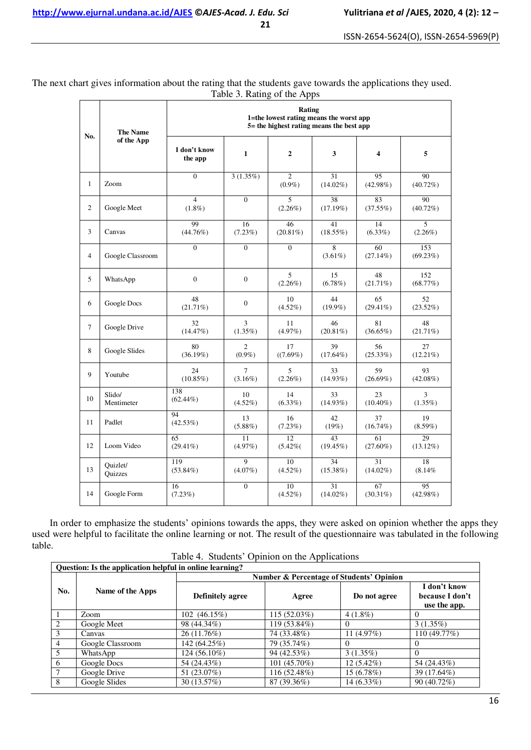**21** 

ISSN-2654-5624(O), ISSN-2654-5969(P)

| No.            | <b>The Name</b>            | Rating<br>1=the lowest rating means the worst app<br>$5$ = the highest rating means the best app |                             |                             |                   |                         |                   |  |  |  |
|----------------|----------------------------|--------------------------------------------------------------------------------------------------|-----------------------------|-----------------------------|-------------------|-------------------------|-------------------|--|--|--|
|                | of the App                 | I don't know<br>the app                                                                          | $\mathbf{1}$                | $\overline{2}$              | 3                 | $\overline{\mathbf{4}}$ | 5                 |  |  |  |
| 1              | Zoom                       | $\theta$                                                                                         | 3(1.35%)                    | $\overline{2}$<br>$(0.9\%)$ | 31<br>$(14.02\%)$ | 95<br>$(42.98\%)$       | 90<br>$(40.72\%)$ |  |  |  |
| $\overline{2}$ | Google Meet                | $\overline{4}$<br>$(1.8\%)$                                                                      | $\Omega$                    | 5<br>$(2.26\%)$             | 38<br>(17.19%)    | 83<br>(37.55%)          | 90<br>(40.72%)    |  |  |  |
| 3              | Canvas                     | 99<br>(44.76%)                                                                                   | 16<br>(7.23%)               | 46<br>$(20.81\%)$           | 41<br>$(18.55\%)$ | 14<br>(6.33%)           | 5<br>$(2.26\%)$   |  |  |  |
| $\overline{4}$ | Google Classroom           | $\Omega$                                                                                         | $\Omega$                    | $\Omega$                    | 8<br>$(3.61\%)$   | 60<br>$(27.14\%)$       | 153<br>(69.23%)   |  |  |  |
| 5              | WhatsApp                   | $\theta$                                                                                         | $\mathbf{0}$                | 5<br>$(2.26\%)$             | 15<br>$(6.78\%)$  | 48<br>$(21.71\%)$       | 152<br>(68.77%)   |  |  |  |
| 6              | Google Docs                | 48<br>$(21.71\%)$                                                                                | $\mathbf{0}$                | 10<br>$(4.52\%)$            | 44<br>$(19.9\%)$  | 65<br>$(29.41\%)$       | 52<br>$(23.52\%)$ |  |  |  |
| $\tau$         | Google Drive               | 32<br>(14.47%)                                                                                   | 3<br>$(1.35\%)$             | 11<br>$(4.97\%)$            | 46<br>$(20.81\%)$ | 81<br>$(36.65\%)$       | 48<br>$(21.71\%)$ |  |  |  |
| 8              | Google Slides              | 80<br>(36.19%)                                                                                   | $\overline{c}$<br>$(0.9\%)$ | 17<br>$((7.69\%)$           | 39<br>$(17.64\%)$ | 56<br>$(25.33\%)$       | 27<br>$(12.21\%)$ |  |  |  |
| 9              | Youtube                    | 24<br>$(10.85\%)$                                                                                | 7<br>$(3.16\%)$             | 5<br>$(2.26\%)$             | 33<br>$(14.93\%)$ | 59<br>$(26.69\%)$       | 93<br>$(42.08\%)$ |  |  |  |
| 10             | Slido/<br>Mentimeter       | 138<br>$(62.44\%)$                                                                               | 10<br>$(4.52\%)$            | 14<br>$(6.33\%)$            | 33<br>$(14.93\%)$ | 23<br>$(10.40\%)$       | 3<br>$(1.35\%)$   |  |  |  |
| 11             | Padlet                     | 94<br>(42.53%)                                                                                   | 13<br>$(5.88\%)$            | 16<br>$(7.23\%)$            | 42<br>(19%)       | 37<br>(16.74%)          | 19<br>$(8.59\%)$  |  |  |  |
| 12             | Loom Video                 | 65<br>$(29.41\%)$                                                                                | 11<br>(4.97%)               | 12<br>$(5.42\%$             | 43<br>$(19.45\%)$ | 61<br>$(27.60\%)$       | 29<br>$(13.12\%)$ |  |  |  |
| 13             | Ouizlet/<br><b>Ouizzes</b> | 119<br>$(53.84\%)$                                                                               | 9<br>$(4.07\%)$             | 10<br>$(4.52\%)$            | 34<br>$(15.38\%)$ | 31<br>$(14.02\%)$       | 18<br>(8.14%      |  |  |  |
| 14             | Google Form                | 16<br>$(7.23\%)$                                                                                 | $\mathbf{0}$                | 10<br>$(4.52\%)$            | 31<br>$(14.02\%)$ | 67<br>$(30.31\%)$       | 95<br>$(42.98\%)$ |  |  |  |

The next chart gives information about the rating that the students gave towards the applications they used. Table 3. Rating of the Apps

In order to emphasize the students' opinions towards the apps, they were asked on opinion whether the apps they used were helpful to facilitate the online learning or not. The result of the questionnaire was tabulated in the following table.

Table 4. Students' Opinion on the Applications

|                | Question: Is the application helpful in online learning? |                                          |                |              |                                                 |  |  |  |  |  |  |
|----------------|----------------------------------------------------------|------------------------------------------|----------------|--------------|-------------------------------------------------|--|--|--|--|--|--|
|                |                                                          | Number & Percentage of Students' Opinion |                |              |                                                 |  |  |  |  |  |  |
| No.            | Name of the Apps                                         | Definitely agree                         | Agree          | Do not agree | I don't know<br>because I don't<br>use the app. |  |  |  |  |  |  |
|                | Zoom                                                     | 102 (46.15%)                             | $115(52.03\%)$ | $4(1.8\%)$   | $\Omega$                                        |  |  |  |  |  |  |
| 2              | Google Meet                                              | 98 (44.34%)                              | 119 (53.84%)   | $\Omega$     | $3(1.35\%)$                                     |  |  |  |  |  |  |
| 3              | Canvas                                                   | 26(11.76%)                               | 74 (33.48%)    | 11 $(4.97%)$ | 110 (49.77%)                                    |  |  |  |  |  |  |
| $\overline{4}$ | Google Classroom                                         | 142 (64.25%)                             | 79 (35.74%)    | $\Omega$     | $\theta$                                        |  |  |  |  |  |  |
| 5              | WhatsApp                                                 | 124 (56.10%)                             | 94 (42.53%)    | 3(1.35%)     | $\Omega$                                        |  |  |  |  |  |  |
| 6              | Google Docs                                              | 54 (24.43%)                              | 101 (45.70%)   | $12(5.42\%)$ | 54 (24.43%)                                     |  |  |  |  |  |  |
| 7              | Google Drive                                             | 51 (23.07%)                              | 116 (52.48%)   | 15(6.78%)    | 39 (17.64%)                                     |  |  |  |  |  |  |
| 8              | Google Slides                                            | 30 (13.57%)                              | 87 (39.36%)    | $14(6.33\%)$ | 90 (40.72%)                                     |  |  |  |  |  |  |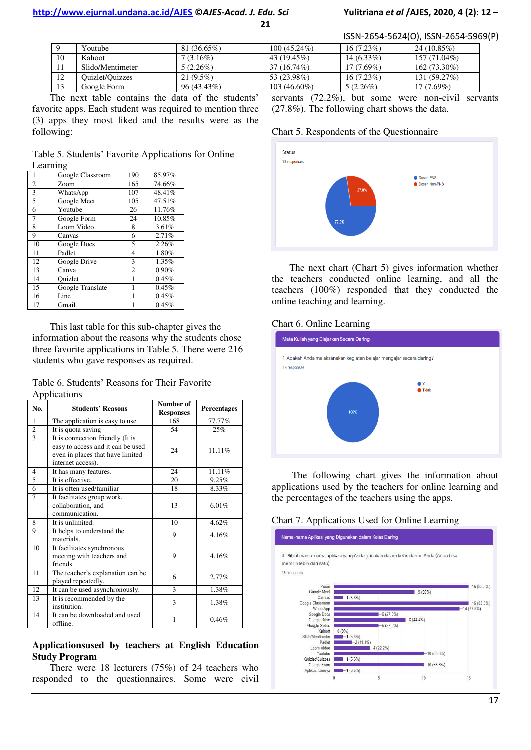#### **http://www.ejurnal.undana.ac.id/AJES ©***AJES-Acad. J. Edu. Sci* **Yulitriana** *et al* **/AJES, 2020, 4 (2): 12 –**

**21** 

ISSN-2654-5624(O), ISSN-2654-5969(P)

|    | Youtube          | 81 (36.65%)   | $100(45.24\%)$ | $16(7.23\%)$ | $24(10.85\%)$ |
|----|------------------|---------------|----------------|--------------|---------------|
| 10 | Kahoot           | $7(3.16\%)$   | 43 $(19.45\%)$ | $14(6.33\%)$ | 157 (71.04%)  |
|    | Slido/Mentimeter | $5(2.26\%)$   | 37 (16.74%)    | $17(7.69\%)$ | 162 (73.30%)  |
| 12 | Quizlet/Quizzes  | $21(9.5\%)$   | 53 (23.98%)    | $16(7.23\%)$ | 131 (59.27%)  |
|    | Google Form      | $96(43.43\%)$ | $103(46.60\%)$ | $5(2.26\%)$  | 17 (7.69%)    |

The next table contains the data of the students' favorite apps. Each student was required to mention three (3) apps they most liked and the results were as the following:

Table 5. Students" Favorite Applications for Online Learning

| 1  | Google Classroom | 190            | 85.97% |
|----|------------------|----------------|--------|
| 2  | Zoom             | 165            | 74.66% |
| 3  | WhatsApp         | 107            | 48.41% |
| 5  | Google Meet      | 105            | 47.51% |
| 6  | Youtube          | 26             | 11.76% |
| 7  | Google Form      | 24             | 10.85% |
| 8  | Loom Video       | 8              | 3.61%  |
| 9  | Canvas           | 6              | 2.71%  |
| 10 | Google Docs      | 5              | 2.26%  |
| 11 | Padlet           | $\overline{4}$ | 1.80%  |
| 12 | Google Drive     | 3              | 1.35%  |
| 13 | Canva            | $\overline{c}$ | 0.90%  |
| 14 | Ouizlet          | 1              | 0.45%  |
| 15 | Google Translate |                | 0.45%  |
| 16 | Line             |                | 0.45%  |
| 17 | Gmail            |                | 0.45%  |

This last table for this sub-chapter gives the information about the reasons why the students chose three favorite applications in Table 5. There were 216 students who gave responses as required.

Table 6. Students" Reasons for Their Favorite Applications

| No.            | <b>Students' Reasons</b>                                                                                                       | Number of<br><b>Responses</b> | <b>Percentages</b> |
|----------------|--------------------------------------------------------------------------------------------------------------------------------|-------------------------------|--------------------|
| 1              | The application is easy to use.                                                                                                | 168                           | 77.77%             |
| $\overline{c}$ | It is quota saving                                                                                                             | 54                            | 25%                |
| $\overline{3}$ | It is connection friendly (It is<br>easy to access and it can be used<br>even in places that have limited<br>internet access). | 24                            | 11.11%             |
| 4              | It has many features.                                                                                                          | 24                            | 11.11%             |
| 5              | It is effective.                                                                                                               | 20                            | 9.25%              |
| 6              | It is often used/familiar                                                                                                      | 18                            | 8.33%              |
| $\overline{7}$ | It facilitates group work,<br>collaboration, and<br>communication.                                                             | 13                            | 6.01%              |
| 8              | It is unlimited.                                                                                                               | 10                            | 4.62%              |
| 9              | It helps to understand the<br>materials.                                                                                       | 9                             | 4.16%              |
| 10             | It facilitates synchronous<br>meeting with teachers and<br>friends.                                                            | 9                             | 4.16%              |
| 11             | The teacher's explanation can be<br>played repeatedly.                                                                         | 6                             | 2.77%              |
| 12             | It can be used asynchronously.                                                                                                 | 3                             | 1.38%              |
| 13             | It is recommended by the<br>institution.                                                                                       | 3                             | 1.38%              |
| 14             | It can be downloaded and used<br>offline.                                                                                      | 1                             | 0.46%              |

#### **Applicationsused by teachers at English Education Study Program**

There were 18 lecturers (75%) of 24 teachers who responded to the questionnaires. Some were civil servants (72.2%), but some were non-civil servants (27.8%). The following chart shows the data.

#### Chart 5. Respondents of the Questionnaire



The next chart (Chart 5) gives information whether the teachers conducted online learning, and all the teachers (100%) responded that they conducted the online teaching and learning.

#### Chart 6. Online Learning



The following chart gives the information about applications used by the teachers for online learning and the percentages of the teachers using the apps.

#### Chart 7. Applications Used for Online Learning

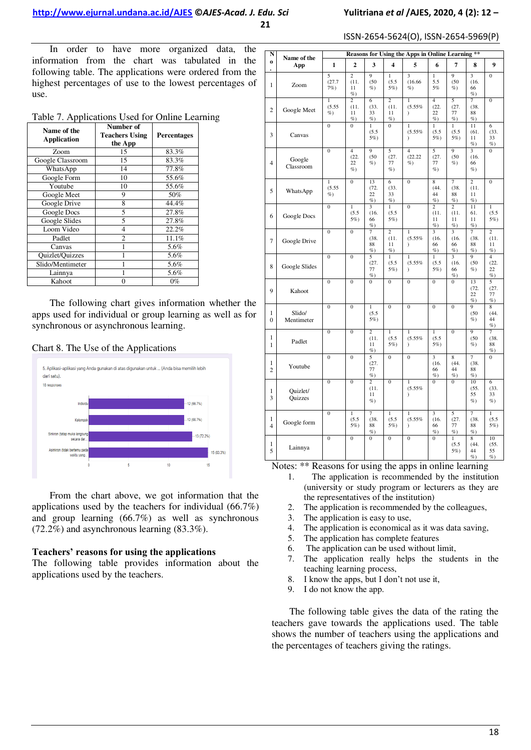ISSN-2654-5624(O), ISSN-2654-5969(P)

In order to have more organized data, the information from the chart was tabulated in the following table. The applications were ordered from the highest percentages of use to the lowest percentages of use.

| Table 7. Applications Used for Online Learning |
|------------------------------------------------|
|------------------------------------------------|

| Name of the<br><b>Application</b> | Number of<br><b>Teachers Using</b><br>the App | <b>Percentages</b> |
|-----------------------------------|-----------------------------------------------|--------------------|
| Zoom                              | 15                                            | 83.3%              |
| Google Classroom                  | 15                                            | 83.3%              |
| WhatsApp                          | 14                                            | 77.8%              |
| Google Form                       | 10                                            | 55.6%              |
| Youtube                           | 10                                            | 55.6%              |
| Google Meet                       | 9                                             | 50%                |
| Google Drive                      | 8                                             | 44.4%              |
| Google Docs                       | 5                                             | 27.8%              |
| Google Slides                     | 5                                             | 27.8%              |
| Loom Video                        | 4                                             | 22.2%              |
| Padlet                            | $\overline{c}$                                | 11.1%              |
| Canvas                            |                                               | 5.6%               |
| Quizlet/Quizzes                   |                                               | 5.6%               |
| Slido/Mentimeter                  |                                               | 5.6%               |
| Lainnya                           |                                               | 5.6%               |
| Kahoot                            | 0                                             | $0\%$              |

The following chart gives information whether the apps used for individual or group learning as well as for synchronous or asynchronous learning.





From the chart above, we got information that the applications used by the teachers for individual (66.7%) and group learning (66.7%) as well as synchronous (72.2%) and asynchronous learning (83.3%).

### **Teachers' reasons for using the applications**

The following table provides information about the applications used by the teachers.

| N                   | Name of the          |                                  |                                      |                                        |                                        | Reasons for Using the Apps in Online Learning ** |                                                 |                                            |                                            |                                        |
|---------------------|----------------------|----------------------------------|--------------------------------------|----------------------------------------|----------------------------------------|--------------------------------------------------|-------------------------------------------------|--------------------------------------------|--------------------------------------------|----------------------------------------|
| $\bf{0}$            | App                  | $\mathbf{1}$                     | $\overline{2}$                       | 3                                      | $\overline{\mathbf{4}}$                | 5                                                | 6                                               | 7                                          | 8                                          | 9                                      |
| 1                   | Zoom                 | 5<br>(27.7)<br>$7%$ )            | $\overline{2}$<br>(11.<br>11<br>$\%$ | 9<br>(50)<br>%                         | $\mathbf{1}$<br>(5.5)<br>5%)           | $\overline{\mathbf{3}}$<br>(16.66)<br>$\%$ )     | $\mathbf{1}$<br>5.5<br>5%                       | 9<br>(50)<br>$\%$ )                        | $\overline{\mathbf{3}}$<br>(16.<br>66<br>% | $\overline{0}$                         |
| $\overline{c}$      | Google Meet          | $\mathbf{1}$<br>(5.55)<br>$\%$ ) | $\overline{c}$<br>(11.<br>11<br>%    | 6<br>(33.<br>33<br>%                   | $\overline{c}$<br>(11.<br>11<br>%      | $\mathbf{1}$<br>(5.55%<br>$\lambda$              | $\overline{4}$<br>(22.<br>22<br>%               | 5<br>(27.<br>77<br>%                       | 7<br>(38.<br>88<br>%                       | $\mathbf{0}$                           |
| 3                   | Canvas               | $\mathbf{0}$                     | $\overline{0}$                       | $\mathbf{1}$<br>(5.5)<br>5%)           | $\overline{0}$                         | $\mathbf{1}$<br>(5.55%<br>1                      | $\mathbf{1}$<br>(5.5)<br>5%                     | $\mathbf{1}$<br>(5.5)<br>$5\%$             | 11<br>(61.<br>11<br>%                      | 6<br>(33.<br>33<br>%                   |
| $\overline{4}$      | Google<br>Classroom  | $\overline{0}$                   | 4<br>(22.<br>22<br>%                 | 9<br>(50)<br>%                         | 5<br>(27.<br>77<br>$\%$ )              | $\overline{4}$<br>(22.22)<br>$\%$ )              | 5<br>(27.<br>77<br>$\%$ )                       | $\overline{q}$<br>(50)<br>%                | $\overline{\mathbf{3}}$<br>(16.<br>66<br>% | $\overline{0}$                         |
| 5                   | WhatsApp             | $\overline{1}$<br>(5.55)<br>$\%$ | $\overline{0}$                       | 13<br>(72.<br>22<br>$\%$               | 6<br>(33.<br>33<br>$\%$                | $\overline{0}$                                   | 8<br>(44.<br>44<br>$\%$ )                       | 7<br>(38.<br>88<br>%                       | $\overline{2}$<br>(11.<br>11<br>%          | $\overline{0}$                         |
| 6                   | Google Docs          | $\overline{0}$                   | $\overline{1}$<br>(5.5)<br>5%)       | 3<br>(16.<br>66<br>%                   | ī<br>(5.5)<br>5%)                      | $\overline{0}$                                   | $\overline{2}$<br>(11.<br>11<br>%               | $\overline{2}$<br>(11.<br>11<br>%          | 11<br>61.<br>11<br>$\%$                    | ī<br>(5.5)<br>5%)                      |
| 7                   | Google Drive         | $\overline{0}$                   | $\overline{0}$                       | 7<br>(38.<br>88<br>$\%$ )              | $\overline{c}$<br>(11.<br>11<br>$\%$ ) | $\mathbf{1}$<br>(5.55%<br>$\mathcal{E}$          | 3<br>(16.<br>66<br>$\%$                         | $\overline{\mathbf{3}}$<br>(16.<br>66<br>% | 7<br>(38.<br>88<br>$\%$                    | $\overline{2}$<br>(11.<br>11<br>$\%$ ) |
| 8                   | Google Slides        | $\overline{0}$                   | $\overline{0}$                       | 5<br>(27.<br>77<br>%                   | ī<br>(5.5)<br>5%)                      | $\mathbf{1}$<br>(5.55%<br>$\lambda$              | $\mathbf{1}$<br>(5.5)<br>5%)                    | $\overline{\mathbf{3}}$<br>(16.<br>66<br>% | 9<br>(50)<br>%                             | $\overline{4}$<br>(22.<br>22<br>$\%$   |
| 9                   | Kahoot               | $\overline{0}$                   | $\overline{0}$                       | $\theta$                               | $\mathbf{0}$                           | $\overline{0}$                                   | $\mathbf{0}$                                    | $\mathbf{0}$                               | 13<br>(72.<br>22<br>$\%$                   | 5<br>(27.<br>77<br>$\%$                |
| 1<br>$\Omega$       | Slido/<br>Mentimeter | $\overline{0}$                   | $\overline{0}$                       | ī<br>(5.5)<br>$5\%$ )                  | $\overline{0}$                         | $\overline{0}$                                   | $\overline{0}$                                  | $\overline{0}$                             | 9<br>(50)<br>$\%$ )                        | 8<br>(44.<br>44<br>$\%$ )              |
| 1<br>1              | Padlet               | $\overline{0}$                   | $\overline{0}$                       | $\overline{2}$<br>(11.<br>11<br>%      | ī<br>(5.5)<br>5%)                      | ī<br>(5.55%<br>$\lambda$                         | $\overline{1}$<br>(5.5)<br>5%)                  | $\overline{0}$                             | 9<br>(50)<br>$\%$                          | 7<br>(38.<br>88<br>%                   |
| 1<br>$\overline{2}$ | Youtube              | $\overline{0}$                   | $\overline{0}$                       | 5<br>(27.<br>77<br>$\%$                | $\overline{0}$                         | $\mathbf{0}$                                     | $\overline{3}$<br>(16.<br>66<br>%               | 8<br>(44.<br>44<br>%                       | 7<br>(38.<br>88<br>$\%$                    | $\theta$                               |
| 1<br>3              | Quizlet/<br>Quizzes  | $\overline{0}$                   | $\overline{0}$                       | $\overline{c}$<br>(11.<br>11<br>$\%$ ) | $\overline{0}$                         | $\mathbf{1}$<br>(5.55%<br>$\lambda$              | $\theta$                                        | $\mathbf{0}$                               | 10<br>(55.<br>55<br>$\%$ )                 | 6<br>(33.<br>33<br>$\%$ )              |
| 1<br>4              | Google form          | $\overline{0}$                   | $\mathbf{1}$<br>(5.5)<br>5%)         | 7<br>(38,<br>88<br>%                   | $\mathbf{1}$<br>(5.5)<br>5%)           | $\mathbf{1}$<br>(5.55%<br>$\mathcal{E}$          | $\overline{\mathbf{3}}$<br>(16.<br>66<br>$\%$ ) | 5<br>(27,<br>77<br>%                       | 7<br>(38.<br>88<br>$\%$                    | $\mathbf{1}$<br>(5.5)<br>5%)           |
| 1<br>5              | Lainnya              | $\overline{0}$                   | $\overline{0}$                       | $\mathbf{0}$                           | $\overline{0}$                         | $\mathbf{0}$                                     | $\mathbf{0}$                                    | 1<br>(5.5)<br>5%)                          | 8<br>(44.<br>44<br>%                       | 10<br>(55.<br>55<br>$\%$               |

Notes: \*\* Reasons for using the apps in online learning

- 1. The application is recommended by the institution (university or study program or lecturers as they are the representatives of the institution)
- 2. The application is recommended by the colleagues,
- 3. The application is easy to use,
- 4. The application is economical as it was data saving,
- 5. The application has complete features
- 6. The application can be used without limit,
- 7. The application really helps the students in the teaching learning process,
- 8. I know the apps, but I don"t not use it,
- 9. I do not know the app.

The following table gives the data of the rating the teachers gave towards the applications used. The table shows the number of teachers using the applications and the percentages of teachers giving the ratings.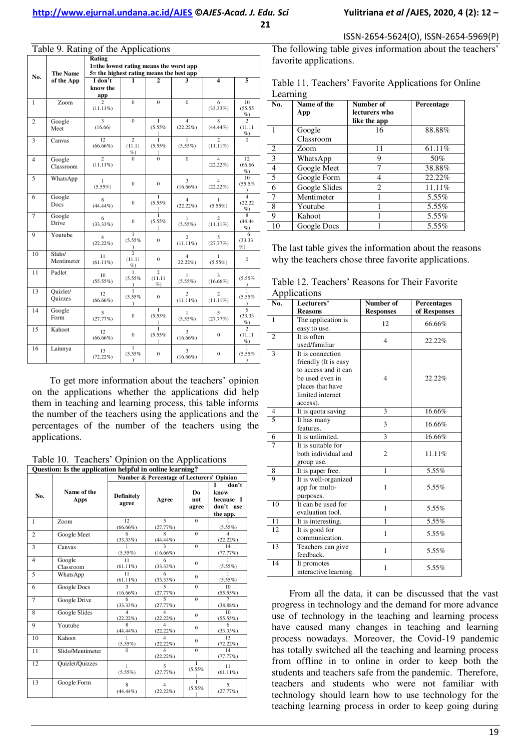Table 9. Rating of the Applications

| No.            | raone <i>7</i> . Kaamg or the <i>r</i> ippheatrons<br><b>The Name</b> | Rating<br>1=the lowest rating means the worst app<br>5= the highest rating means the best app |                                         |                                     |                               |                               |                                          |  |  |  |
|----------------|-----------------------------------------------------------------------|-----------------------------------------------------------------------------------------------|-----------------------------------------|-------------------------------------|-------------------------------|-------------------------------|------------------------------------------|--|--|--|
|                | of the App                                                            | I don't<br>know the<br>app                                                                    | 1                                       | 2                                   |                               | 4                             | 5                                        |  |  |  |
| 1              | Zoom                                                                  | 2<br>$(11.11\%)$                                                                              | $\Omega$                                | $\mathbf{0}$                        | $\mathbf{0}$                  | 6<br>(33.33%)                 | 10<br>(55.55)<br>%                       |  |  |  |
| $\overline{c}$ | Google<br>Meet                                                        | $\overline{\mathbf{3}}$<br>(16.66)                                                            | $\mathbf{0}$                            | $\mathbf{1}$<br>(5.55%<br>$\lambda$ | $\overline{4}$<br>$(22.22\%)$ | 8<br>$(44.44\%)$              | $\overline{\phantom{a}}$<br>(11.11)<br>% |  |  |  |
| 3              | Canvas                                                                | 12<br>$(66.66\%)$                                                                             | $\overline{c}$<br>(11.11)<br>%          | 1<br>(5.55%                         | 1<br>$(5.55\%)$               | $\overline{c}$<br>$(11.11\%)$ | $\Omega$                                 |  |  |  |
| $\overline{4}$ | Google<br>Classroom                                                   | $\overline{2}$<br>$(11.11\%)$                                                                 | $\Omega$                                | $\overline{0}$                      | $\overline{0}$                | $\overline{4}$<br>$(22.22\%)$ | 12<br>(66.66)<br>%                       |  |  |  |
| 5              | WhatsApp                                                              | 1<br>$(5.55\%)$                                                                               | $\mathbf{0}$                            | $\mathbf{0}$                        | 3<br>$(16.66\%)$              | $\overline{4}$<br>$(22.22\%)$ | 10<br>(55.5%<br>$\mathcal{E}$            |  |  |  |
| 6              | Google<br>Docs                                                        | 8<br>$(44.44\%)$                                                                              | $\mathbf{0}$                            | $\mathbf{1}$<br>(5.55%              | $\overline{4}$<br>$(22.22\%)$ | 1<br>$(5.55\%)$               | $\overline{4}$<br>(22.22)<br>%           |  |  |  |
| $\overline{7}$ | Google<br>Drive                                                       | 6<br>$(33.33\%)$                                                                              | $\Omega$                                | $\mathbf{1}$<br>(5.55%<br>$\lambda$ | 1<br>$(5.55\%)$               | $\overline{c}$<br>$(11.11\%)$ | $\overline{8}$<br>(44.44)<br>%           |  |  |  |
| 9              | Youtube                                                               | $\overline{4}$<br>$(22.22\%)$                                                                 | $\mathbf{1}$<br>(5.55%<br>$\mathcal{E}$ | $\mathbf{0}$                        | $\overline{c}$<br>$(11.11\%)$ | 5<br>(27.77%)                 | 6<br>(33.33)<br>%                        |  |  |  |
| 10             | Slido/<br>Mentimeter                                                  | 11<br>$(61.11\%)$                                                                             | $\overline{2}$<br>(11.11)<br>$\%$ )     | $\mathbf{0}$                        | $\overline{4}$<br>$22.22\%$   | 1<br>$(5.55\%)$               | $\mathbf{0}$                             |  |  |  |
| 11             | Padlet                                                                | 10<br>$(55.55\%)$                                                                             | $\mathbf{1}$<br>(5.55%                  | $\overline{2}$<br>(11.11)<br>$\%$ ) | $\mathbf{1}$<br>$(5.55\%)$    | 3<br>$(16.66\%)$              | $\mathbf{1}$<br>(5.55%                   |  |  |  |
| 13             | Quizlet/<br>Quizzes                                                   | 12<br>$(66.66\%)$                                                                             | $\overline{1}$<br>(5.55%<br>$\lambda$   | $\mathbf{0}$                        | $\overline{c}$<br>$(11.11\%)$ | 2<br>$(11.11\%)$              | $\overline{1}$<br>(5.55%<br>€            |  |  |  |
| 14             | Google<br>Form                                                        | 5<br>(27.77%)                                                                                 | $\bf{0}$                                | 1<br>(5.55%<br>$\lambda$            | 1<br>$(5.55\%)$               | 5<br>(27.77%)                 | 6<br>(33.33)<br>%                        |  |  |  |
| 15             | Kahoot                                                                | 12<br>$(66.66\%)$                                                                             | $\boldsymbol{0}$                        | ī<br>(5.55%<br>$\lambda$            | 3<br>$(16.66\%)$              | $\boldsymbol{0}$              | $\overline{c}$<br>(11.11)<br>$\%$        |  |  |  |
| 16             | Lainnya                                                               | 13<br>$(72.22\%)$                                                                             | 1<br>(5.55%<br>$\mathcal{E}$            | $\mathbf{0}$                        | 3<br>$(16.66\%)$              | $\bf{0}$                      | 1<br>(5.55%<br>$\lambda$                 |  |  |  |

To get more information about the teachers" opinion on the applications whether the applications did help them in teaching and learning process, this table informs the number of the teachers using the applications and the percentages of the number of the teachers using the applications.

Table 10. Teachers' Opinion on the Applications

| Question: Is the application helpful in online learning? |                      |                             |                                           |                                |                                                     |  |  |  |  |
|----------------------------------------------------------|----------------------|-----------------------------|-------------------------------------------|--------------------------------|-----------------------------------------------------|--|--|--|--|
|                                                          |                      |                             | Number & Percentage of Lecturers' Opinion |                                |                                                     |  |  |  |  |
| No.                                                      | Name of the<br>Apps  | Definitely<br>agree         | Agree                                     | D <sub>0</sub><br>not<br>agree | don't<br>know<br>because I<br>don't use<br>the app. |  |  |  |  |
| 1                                                        | Zoom                 | 12<br>$(66.66\%)$           | 5<br>(27.77%)                             | $\Omega$                       | 1<br>$(5.55\%)$                                     |  |  |  |  |
| $\overline{c}$                                           | Google Meet          | 6<br>(33.33%)               | $\boldsymbol{8}$<br>$(44.44\%)$           | $\Omega$                       | $\Delta$<br>$(22.22\%)$                             |  |  |  |  |
| 3                                                        | Canvas               | 1<br>$(5.55\%)$             | $\mathbf{3}$<br>$(16.66\%)$               | $\Omega$                       | 14<br>(77.77%)                                      |  |  |  |  |
| 4                                                        | Google<br>Classroom  | 11<br>$(61.11\%)$           | 6<br>$(33.33\%)$                          | $\Omega$                       | 1<br>$(5.55\%)$                                     |  |  |  |  |
| 5                                                        | WhatsApp             | 11<br>$(61.11\%)$           | 6<br>(33.33%)                             | $\Omega$                       | 1<br>$(5.55\%)$                                     |  |  |  |  |
| 6                                                        | Google Docs          | $\mathbf{a}$<br>$(16.66\%)$ | $\overline{\phantom{0}}$<br>(27.77%)      | $\Omega$                       | 10<br>(55.55%)                                      |  |  |  |  |
| 7                                                        | Google Drive         | 6<br>(33.33%)               | $\overline{\phantom{0}}$<br>(27.77%)      | $\Omega$                       | 7<br>(38.88%)                                       |  |  |  |  |
| 8                                                        | <b>Google Slides</b> | 4<br>$(22.22\%)$            | Δ<br>$(22.22\%)$                          | $\Omega$                       | 10<br>$(55.55\%)$                                   |  |  |  |  |
| 9                                                        | Youtube              | $\mathbf{Q}$<br>$(44.44\%)$ | Δ<br>$(22.22\%)$                          | $\mathbf{0}$                   | 6<br>$(33.33\%)$                                    |  |  |  |  |
| 10                                                       | Kahoot               | 1<br>$(5.55\%)$             | Δ<br>$(22.22\%)$                          | $\Omega$                       | 13<br>$(72.22\%)$                                   |  |  |  |  |
| 11                                                       | Slido/Mentimeter     | $\Omega$                    | $\Delta$<br>$(22.22\%)$                   | $\Omega$                       | 14<br>(77.77%)                                      |  |  |  |  |
| 12                                                       | Quizlet/Quizzes      | $\mathbf{1}$<br>$(5.55\%)$  | 5<br>(27.77%)                             | 1<br>(5.55%                    | 11<br>$(61.11\%)$                                   |  |  |  |  |
| 13                                                       | Google Form          | 8<br>$(44.44\%)$            | $\overline{\mathbf{4}}$<br>$(22.22\%)$    | 1<br>(5.55%                    | 5<br>(27.77%)                                       |  |  |  |  |

The following table gives information about the teachers' favorite applications.

Table 11. Teachers' Favorite Applications for Online Learning

| No.            | Name of the<br>App | Number of<br>lecturers who<br>like the app | Percentage |
|----------------|--------------------|--------------------------------------------|------------|
|                | Google             | 16                                         | 88.88%     |
|                | Classroom          |                                            |            |
| 2              | Zoom               | 11                                         | 61.11%     |
| 3              | WhatsApp           | 9                                          | 50%        |
| $\overline{4}$ | Google Meet        |                                            | 38.88%     |
| 5              | Google Form        | 4                                          | 22.22%     |
| 6              | Google Slides      | 2                                          | 11.11%     |
| 7              | Mentimeter         | 1                                          | 5.55%      |
| 8              | Youtube            |                                            | 5.55%      |
| 9              | Kahoot             |                                            | 5.55%      |
| 10             | Google Docs        |                                            | 5.55%      |

The last table gives the information about the reasons why the teachers chose three favorite applications.

| Table 12. Teachers' Reasons for Their Favorite |  |  |
|------------------------------------------------|--|--|
| Applications                                   |  |  |

| ″ 1⊤<br>No.    | Lecturers'                                                                                                                              | Number of        | <b>Percentages</b> |
|----------------|-----------------------------------------------------------------------------------------------------------------------------------------|------------------|--------------------|
|                | <b>Reasons</b>                                                                                                                          | <b>Responses</b> | of Responses       |
| 1              | The application is<br>easy to use.                                                                                                      | 12               | 66.66%             |
| $\overline{2}$ | It is often<br>used/familiar                                                                                                            | $\overline{4}$   | 22.22%             |
| 3              | It is connection<br>friendly (It is easy<br>to access and it can<br>be used even in<br>places that have<br>limited internet<br>access). | $\overline{4}$   | 22.22%             |
| $\overline{4}$ | It is quota saving                                                                                                                      | 3                | 16.66%             |
| $\overline{5}$ | It has many<br>features.                                                                                                                | 3                | 16.66%             |
| 6              | It is unlimited.                                                                                                                        | 3                | 16.66%             |
| $\overline{7}$ | It is suitable for<br>both individual and<br>group use.                                                                                 | $\overline{c}$   | 11.11%             |
| 8              | It is paper free.                                                                                                                       | $\mathbf{1}$     | 5.55%              |
| $\overline{9}$ | It is well-organized<br>app for multi-<br>purposes.                                                                                     | $\mathbf{1}$     | 5.55%              |
| 10             | It can be used for<br>evaluation tool.                                                                                                  | $\mathbf{1}$     | 5.55%              |
| 11             | It is interesting.                                                                                                                      | 1                | 5.55%              |
| 12             | It is good for<br>communication.                                                                                                        | $\mathbf{1}$     | 5.55%              |
| 13             | Teachers can give<br>feedback.                                                                                                          | $\mathbf{1}$     | 5.55%              |
| 14             | It promotes<br>interactive learning.                                                                                                    | 1                | 5.55%              |

From all the data, it can be discussed that the vast progress in technology and the demand for more advance use of technology in the teaching and learning process have caused many changes in teaching and learning process nowadays. Moreover, the Covid-19 pandemic has totally switched all the teaching and learning process from offline in to online in order to keep both the students and teachers safe from the pandemic. Therefore, teachers and students who were not familiar with technology should learn how to use technology for the teaching learning process in order to keep going during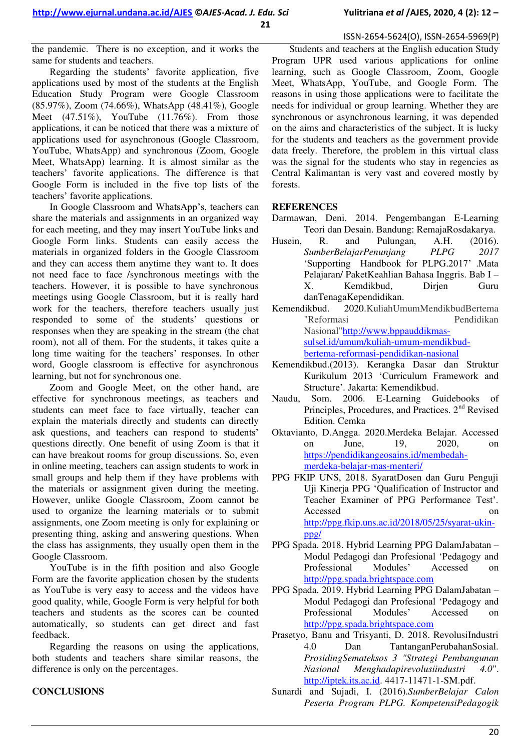ISSN-2654-5624(O), ISSN-2654-5969(P)

the pandemic. There is no exception, and it works the same for students and teachers.

Regarding the students' favorite application, five applications used by most of the students at the English Education Study Program were Google Classroom (85.97%), Zoom (74.66%), WhatsApp (48.41%), Google Meet  $(47.51\%)$ , YouTube  $(11.76\%)$ . From those applications, it can be noticed that there was a mixture of applications used for asynchronous (Google Classroom, YouTube, WhatsApp) and synchronous (Zoom, Google Meet, WhatsApp) learning. It is almost similar as the teachers" favorite applications. The difference is that Google Form is included in the five top lists of the teachers' favorite applications.

In Google Classroom and WhatsApp"s, teachers can share the materials and assignments in an organized way for each meeting, and they may insert YouTube links and Google Form links. Students can easily access the materials in organized folders in the Google Classroom and they can access them anytime they want to. It does not need face to face /synchronous meetings with the teachers. However, it is possible to have synchronous meetings using Google Classroom, but it is really hard work for the teachers, therefore teachers usually just responded to some of the students' questions or responses when they are speaking in the stream (the chat room), not all of them. For the students, it takes quite a long time waiting for the teachers' responses. In other word, Google classroom is effective for asynchronous learning, but not for synchronous one.

Zoom and Google Meet, on the other hand, are effective for synchronous meetings, as teachers and students can meet face to face virtually, teacher can explain the materials directly and students can directly ask questions, and teachers can respond to students' questions directly. One benefit of using Zoom is that it can have breakout rooms for group discussions. So, even in online meeting, teachers can assign students to work in small groups and help them if they have problems with the materials or assignment given during the meeting. However, unlike Google Classroom, Zoom cannot be used to organize the learning materials or to submit assignments, one Zoom meeting is only for explaining or presenting thing, asking and answering questions. When the class has assignments, they usually open them in the Google Classroom.

YouTube is in the fifth position and also Google Form are the favorite application chosen by the students as YouTube is very easy to access and the videos have good quality, while, Google Form is very helpful for both teachers and students as the scores can be counted automatically, so students can get direct and fast feedback.

Regarding the reasons on using the applications, both students and teachers share similar reasons, the difference is only on the percentages.

## **CONCLUSIONS**

Students and teachers at the English education Study Program UPR used various applications for online learning, such as Google Classroom, Zoom, Google Meet, WhatsApp, YouTube, and Google Form. The reasons in using those applications were to facilitate the needs for individual or group learning. Whether they are synchronous or asynchronous learning, it was depended on the aims and characteristics of the subject. It is lucky for the students and teachers as the government provide data freely. Therefore, the problem in this virtual class was the signal for the students who stay in regencies as Central Kalimantan is very vast and covered mostly by forests.

#### **REFERENCES**

Darmawan, Deni. 2014. Pengembangan E-Learning Teori dan Desain. Bandung: RemajaRosdakarya.

- Husein, R. and Pulungan, A.H. (2016).<br>SumberBelajarPenuniang PLPG 2017 *SumberBelajarPenunjang PLPG 2017* "Supporting Handbook for PLPG.2017" .Mata Pelajaran/ PaketKeahlian Bahasa Inggris. Bab I – X. Kemdikbud, Dirjen Guru danTenagaKependidikan.
- Kemendikbud. 2020.KuliahUmumMendikbudBertema "Reformasi Pendidikan Nasional["http://www.bppauddikmas](http://www.bppauddikmas-sulsel.id/umum/kuliah-umum-mendikbud-bertema-reformasi-pendidikan-nasional)[sulsel.id/umum/kuliah-umum-mendikbud](http://www.bppauddikmas-sulsel.id/umum/kuliah-umum-mendikbud-bertema-reformasi-pendidikan-nasional)[bertema-reformasi-pendidikan-nasional](http://www.bppauddikmas-sulsel.id/umum/kuliah-umum-mendikbud-bertema-reformasi-pendidikan-nasional)
- Kemendikbud.(2013). Kerangka Dasar dan Struktur Kurikulum 2013 "Curriculum Framework and Structure'. Jakarta: Kemendikbud.
- Naudu, Som. 2006. E-Learning Guidebooks of Principles, Procedures, and Practices. 2<sup>nd</sup> Revised Edition. Cemka
- Oktavianto, D.Angga. 2020.Merdeka Belajar. Accessed on June, 19, 2020, on [https://pendidikangeosains.id/membedah](https://pendidikangeosains.id/membedah-merdeka-belajar-mas-menteri/)[merdeka-belajar-mas-menteri/](https://pendidikangeosains.id/membedah-merdeka-belajar-mas-menteri/)
- PPG FKIP UNS, 2018. SyaratDosen dan Guru Penguji Uji Kinerja PPG "Qualification of Instructor and Teacher Examiner of PPG Performance Test". Accessed on a contract on  $\alpha$ [http://ppg.fkip.uns.ac.id/2018/05/25/syarat-ukin](http://ppg.fkip.uns.ac.id/2018/05/25/syarat-ukin-ppg/)[ppg/](http://ppg.fkip.uns.ac.id/2018/05/25/syarat-ukin-ppg/)
- PPG Spada. 2018. Hybrid Learning PPG DalamJabatan Modul Pedagogi dan Profesional "Pedagogy and Professional Modules" Accessed on [http://ppg.spada.brightspace.com](http://ppg.spada.brightspace.com/)
- PPG Spada. 2019. Hybrid Learning PPG DalamJabatan Modul Pedagogi dan Profesional "Pedagogy and Professional Modules" Accessed on [http://ppg.spada.brightspace.com](http://ppg.spada.brightspace.com/)
- Prasetyo, Banu and Trisyanti, D. 2018. RevolusiIndustri 4.0 Dan TantanganPerubahanSosial. *ProsidingSemateksos 3 "Strategi Pembangunan Nasional Menghadapirevolusiindustri 4.0*". [http://iptek.its.ac.id.](http://iptek.its.ac.id/) 4417-11471-1-SM.pdf.
- Sunardi and Sujadi, I. (2016).*SumberBelajar Calon Peserta Program PLPG. KompetensiPedagogik*